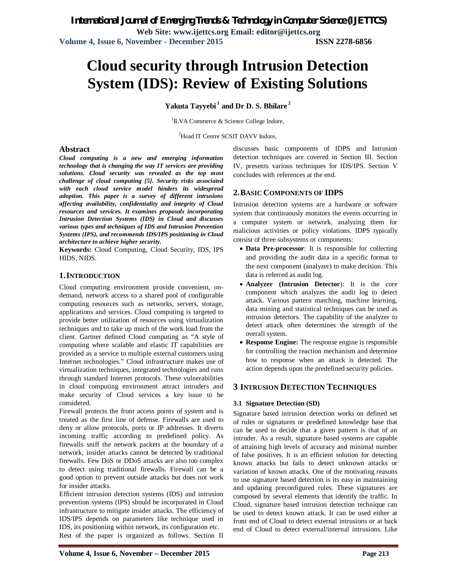# **Cloud security through Intrusion Detection System (IDS): Review of Existing Solutions**

**Yakuta Tayyebi <sup>1</sup> and Dr D. S. Bhilare <sup>2</sup>**

1 ILVA Commerce & Science College Indore,

<sup>2</sup>Head IT Centre SCSIT DAVV Indore,

# **Abstract**

*Cloud computing is a new and emerging information technology that is changing the way IT services are providing solutions. Cloud security was revealed as the top most challenge of cloud computing [5]. Security risks associated with each cloud service model hinders its widespread adoption. This paper is a survey of different intrusions affecting availability, confidentiality and integrity of Cloud resources and services. It examines proposals incorporating Intrusion Detection Systems (IDS) in Cloud and discusses various types and techniques of IDS and Intrusion Prevention Systems (IPS), and recommends IDS/IPS positioning in Cloud architecture to achieve higher security.*

**Keywords:** Cloud Computing, Cloud Security, IDS, IPS HIDS, NIDS.

### **1.INTRODUCTION**

Cloud computing environment provide convenient, ondemand, network access to a shared pool of configurable computing resources such as networks, servers, storage, applications and services. Cloud computing is targeted to provide better utilization of resources using virtualization techniques and to take up much of the work load from the client. Gartner defined Cloud computing as "A style of computing where scalable and elastic IT capabilities are provided as a service to multiple external customers using Internet technologies." Cloud infrastructure makes use of virtualization techniques, integrated technologies and runs through standard Internet protocols. These vulnerabilities in cloud computing environment attract intruders and make security of Cloud services a key issue to be considered.

Firewall protects the front access points of system and is treated as the first line of defense. Firewalls are used to deny or allow protocols, ports or IP addresses. It diverts incoming traffic according to predefined policy. As firewalls sniff the network packets at the boundary of a network, insider attacks cannot be detected by traditional firewalls. Few DoS or DDoS attacks are also too complex to detect using traditional firewalls. Firewall can be a good option to prevent outside attacks but does not work for insider attacks.

Efficient intrusion detection systems (IDS) and intrusion prevention systems (IPS) should be incorporated in Cloud infrastructure to mitigate insider attacks. The efficiency of IDS/IPS depends on parameters like technique used in IDS, its positioning within network, its configuration etc. Rest of the paper is organized as follows. Section II discusses basic components of IDPS and Intrusion detection techniques are covered in Section III. Section IV, presents various techniques for IDS/IPS. Section V concludes with references at the end.

# **2.BASIC COMPONENTS OF IDPS**

Intrusion detection systems are a hardware or software system that continuously monitors the events occurring in a computer system or network, analyzing them for malicious activities or policy violations. IDPS typically consist of three subsystems or components:

- **Data Pre-processor**: It is responsible for collecting and providing the audit data in a specific format to the next component (analyzer) to make decision. This data is referred as audit log.
- **Analyzer (Intrusion Detector**): It is the core component which analyzes the audit log to detect attack. Various pattern matching, machine learning, data mining and statistical techniques can be used as intrusion detectors. The capability of the analyzer to detect attack often determines the strength of the overall system.
- **Response Engine:** The response engine is responsible for controlling the reaction mechanism and determine how to response when an attack is detected. The action depends upon the predefined security policies.

# **3 INTRUSION DETECTION TECHNIQUES**

#### **3.1 Signature Detection (SD)**

Signature based intrusion detection works on defined set of rules or signatures or predefined knowledge base that can be used to decide that a given pattern is that of an intruder. As a result, signature based systems are capable of attaining high levels of accuracy and minimal number of false positives. It is an efficient solution for detecting known attacks but fails to detect unknown attacks or variation of known attacks. One of the motivating reasons to use signature based detection is its easy in maintaining and updating preconfigured rules. These signatures are composed by several elements that identify the traffic. In Cloud, signature based intrusion detection technique can be used to detect known attack. It can be used either at front end of Cloud to detect external intrusions or at back end of Cloud to detect external/internal intrusions. Like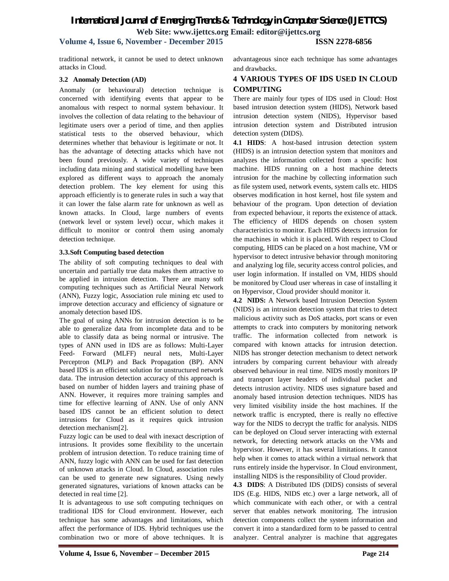# *International Journal of Emerging Trends & Technology in Computer Science (IJETTCS)* **Web Site: www.ijettcs.org Email: editor@ijettcs.org**

# **Volume 4, Issue 6, November - December 2015 ISSN 2278-6856**

traditional network, it cannot be used to detect unknown attacks in Cloud.

#### **3.2 Anomaly Detection (AD)**

Anomaly (or behavioural) detection technique is concerned with identifying events that appear to be anomalous with respect to normal system behaviour. It involves the collection of data relating to the behaviour of legitimate users over a period of time, and then applies statistical tests to the observed behaviour, which determines whether that behaviour is legitimate or not. It has the advantage of detecting attacks which have not been found previously. A wide variety of techniques including data mining and statistical modelling have been explored as different ways to approach the anomaly detection problem. The key element for using this approach efficiently is to generate rules in such a way that it can lower the false alarm rate for unknown as well as known attacks. In Cloud, large numbers of events (network level or system level) occur, which makes it difficult to monitor or control them using anomaly detection technique.

#### **3.3.Soft Computing based detection**

The ability of soft computing techniques to deal with uncertain and partially true data makes them attractive to be applied in intrusion detection. There are many soft computing techniques such as Artificial Neural Network (ANN), Fuzzy logic, Association rule mining etc used to improve detection accuracy and efficiency of signature or anomaly detection based IDS.

The goal of using ANNs for intrusion detection is to be able to generalize data from incomplete data and to be able to classify data as being normal or intrusive. The types of ANN used in IDS are as follows: Multi-Layer Feed- Forward (MLFF) neural nets, Multi-Layer Perceptron (MLP) and Back Propagation (BP). ANN based IDS is an efficient solution for unstructured network data. The intrusion detection accuracy of this approach is based on number of hidden layers and training phase of ANN. However, it requires more training samples and time for effective learning of ANN. Use of only ANN based IDS cannot be an efficient solution to detect intrusions for Cloud as it requires quick intrusion detection mechanism[2].

Fuzzy logic can be used to deal with inexact description of intrusions. It provides some flexibility to the uncertain problem of intrusion detection. To reduce training time of ANN, fuzzy logic with ANN can be used for fast detection of unknown attacks in Cloud. In Cloud, association rules can be used to generate new signatures. Using newly generated signatures, variations of known attacks can be detected in real time [2].

It is advantageous to use soft computing techniques on traditional IDS for Cloud environment. However, each technique has some advantages and limitations, which affect the performance of IDS. Hybrid techniques use the combination two or more of above techniques. It is

# **4 VARIOUS TYPES OF IDS USED IN CLOUD COMPUTING**

There are mainly four types of IDS used in Cloud: Host based intrusion detection system (HIDS), Network based intrusion detection system (NIDS), Hypervisor based intrusion detection system and Distributed intrusion detection system (DIDS).

**4.1 HIDS**: A host-based intrusion detection system (HIDS) is an intrusion detection system that monitors and analyzes the information collected from a specific host machine. HIDS running on a host machine detects intrusion for the machine by collecting information such as file system used, network events, system calls etc. HIDS observes modification in host kernel, host file system and behaviour of the program. Upon detection of deviation from expected behaviour, it reports the existence of attack. The efficiency of HIDS depends on chosen system characteristics to monitor. Each HIDS detects intrusion for the machines in which it is placed. With respect to Cloud computing, HIDS can be placed on a host machine, VM or hypervisor to detect intrusive behavior through monitoring and analyzing log file, security access control policies, and user login information. If installed on VM, HIDS should be monitored by Cloud user whereas in case of installing it on Hypervisor, Cloud provider should monitor it.

**4.2 NIDS:** A Network based Intrusion Detection System (NIDS) is an intrusion detection system that tries to detect malicious activity such as DoS attacks, port scans or even attempts to crack into computers by monitoring network traffic. The information collected from network is compared with known attacks for intrusion detection. NIDS has stronger detection mechanism to detect network intruders by comparing current behaviour with already observed behaviour in real time. NIDS mostly monitors IP and transport layer headers of individual packet and detects intrusion activity. NIDS uses signature based and anomaly based intrusion detection techniques. NIDS has very limited visibility inside the host machines. If the network traffic is encrypted, there is really no effective way for the NIDS to decrypt the traffic for analysis. NIDS can be deployed on Cloud server interacting with external network, for detecting network attacks on the VMs and hypervisor. However, it has several limitations. It cannot help when it comes to attack within a virtual network that runs entirely inside the hypervisor. In Cloud environment, installing NIDS is the responsibility of Cloud provider.

**4.3 DIDS**: A Distributed IDS (DIDS) consists of several IDS (E.g. HIDS, NIDS etc.) over a large network, all of which communicate with each other, or with a central server that enables network monitoring. The intrusion detection components collect the system information and convert it into a standardized form to be passed to central analyzer. Central analyzer is machine that aggregates